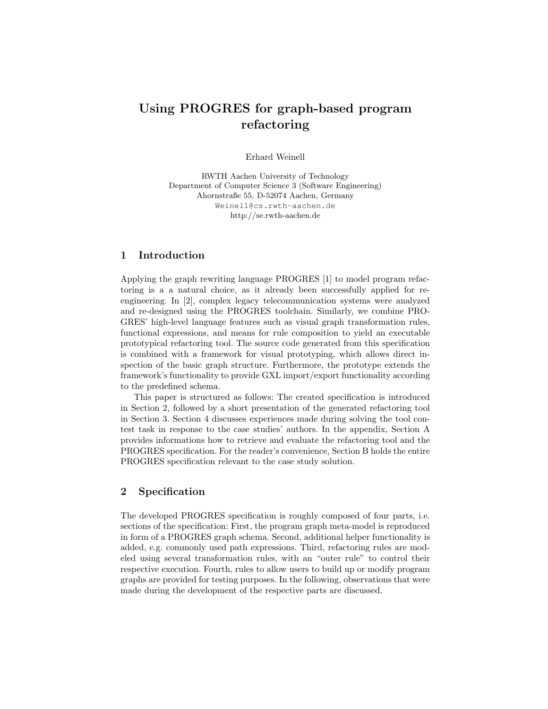# Using PROGRES for graph-based program refactoring

Erhard Weinell

RWTH Aachen University of Technology Department of Computer Science 3 (Software Engineering) Ahornstraße 55, D-52074 Aachen, Germany Weinell@cs.rwth-aachen.de http://se.rwth-aachen.de

#### 1 Introduction

Applying the graph rewriting language PROGRES [1] to model program refactoring is a a natural choice, as it already been successfully applied for reengineering. In [2], complex legacy telecommunication systems were analyzed and re-designed using the PROGRES toolchain. Similarly, we combine PRO-GRES' high-level language features such as visual graph transformation rules, functional expressions, and means for rule composition to yield an executable prototypical refactoring tool. The source code generated from this specification is combined with a framework for visual prototyping, which allows direct inspection of the basic graph structure. Furthermore, the prototype extends the framework's functionality to provide GXL import/export functionality according to the predefined schema.

This paper is structured as follows: The created specification is introduced in Section 2, followed by a short presentation of the generated refactoring tool in Section 3. Section 4 discusses experiences made during solving the tool contest task in response to the case studies' authors. In the appendix, Section A provides informations how to retrieve and evaluate the refactoring tool and the PROGRES specification. For the reader's convenience, Section B holds the entire PROGRES specification relevant to the case study solution.

## 2 Specification

The developed PROGRES specification is roughly composed of four parts, i.e. sections of the specification: First, the program graph meta-model is reproduced in form of a PROGRES graph schema. Second, additional helper functionality is added, e.g. commonly used path expressions. Third, refactoring rules are modeled using several transformation rules, with an "outer rule" to control their respective execution. Fourth, rules to allow users to build up or modify program graphs are provided for testing purposes. In the following, observations that were made during the development of the respective parts are discussed.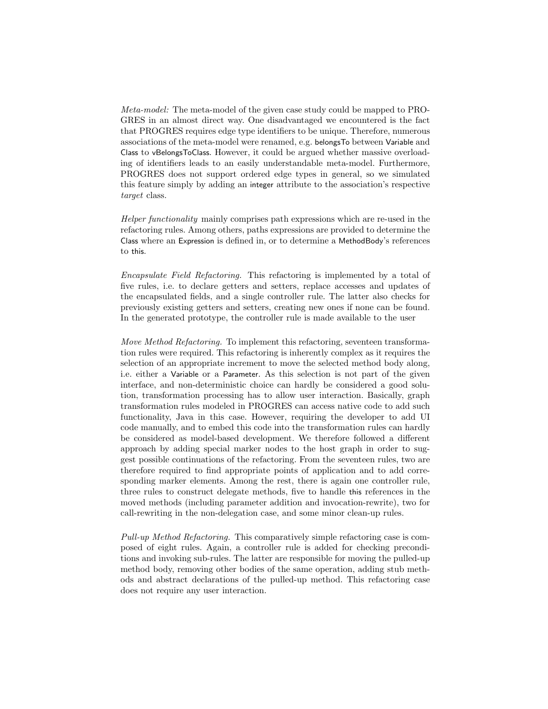Meta-model: The meta-model of the given case study could be mapped to PRO-GRES in an almost direct way. One disadvantaged we encountered is the fact that PROGRES requires edge type identifiers to be unique. Therefore, numerous associations of the meta-model were renamed, e.g. belongsTo between Variable and Class to vBelongsToClass. However, it could be argued whether massive overloading of identifiers leads to an easily understandable meta-model. Furthermore, PROGRES does not support ordered edge types in general, so we simulated this feature simply by adding an integer attribute to the association's respective target class.

Helper functionality mainly comprises path expressions which are re-used in the refactoring rules. Among others, paths expressions are provided to determine the Class where an Expression is defined in, or to determine a MethodBody's references to this.

Encapsulate Field Refactoring. This refactoring is implemented by a total of five rules, i.e. to declare getters and setters, replace accesses and updates of the encapsulated fields, and a single controller rule. The latter also checks for previously existing getters and setters, creating new ones if none can be found. In the generated prototype, the controller rule is made available to the user

Move Method Refactoring. To implement this refactoring, seventeen transformation rules were required. This refactoring is inherently complex as it requires the selection of an appropriate increment to move the selected method body along, i.e. either a Variable or a Parameter. As this selection is not part of the given interface, and non-deterministic choice can hardly be considered a good solution, transformation processing has to allow user interaction. Basically, graph transformation rules modeled in PROGRES can access native code to add such functionality, Java in this case. However, requiring the developer to add UI code manually, and to embed this code into the transformation rules can hardly be considered as model-based development. We therefore followed a different approach by adding special marker nodes to the host graph in order to suggest possible continuations of the refactoring. From the seventeen rules, two are therefore required to find appropriate points of application and to add corresponding marker elements. Among the rest, there is again one controller rule, three rules to construct delegate methods, five to handle this references in the moved methods (including parameter addition and invocation-rewrite), two for call-rewriting in the non-delegation case, and some minor clean-up rules.

Pull-up Method Refactoring. This comparatively simple refactoring case is composed of eight rules. Again, a controller rule is added for checking preconditions and invoking sub-rules. The latter are responsible for moving the pulled-up method body, removing other bodies of the same operation, adding stub methods and abstract declarations of the pulled-up method. This refactoring case does not require any user interaction.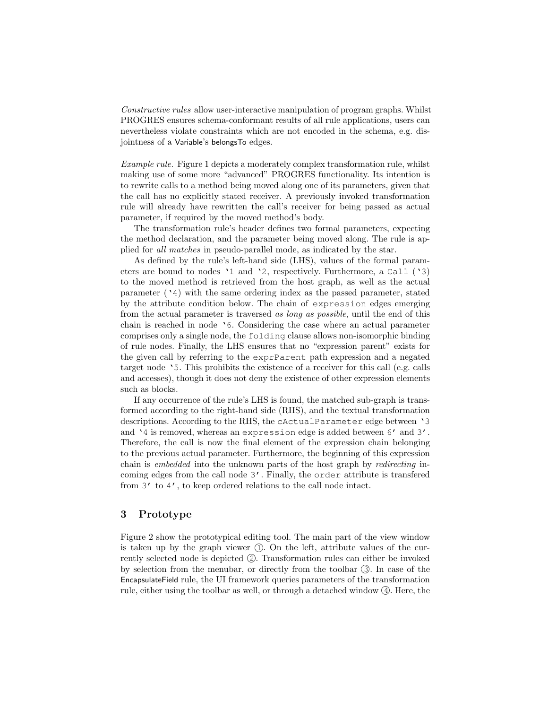Constructive rules allow user-interactive manipulation of program graphs. Whilst PROGRES ensures schema-conformant results of all rule applications, users can nevertheless violate constraints which are not encoded in the schema, e.g. disjointness of a Variable's belongsTo edges.

Example rule. Figure 1 depicts a moderately complex transformation rule, whilst making use of some more "advanced" PROGRES functionality. Its intention is to rewrite calls to a method being moved along one of its parameters, given that the call has no explicitly stated receiver. A previously invoked transformation rule will already have rewritten the call's receiver for being passed as actual parameter, if required by the moved method's body.

The transformation rule's header defines two formal parameters, expecting the method declaration, and the parameter being moved along. The rule is applied for all matches in pseudo-parallel mode, as indicated by the star.

As defined by the rule's left-hand side (LHS), values of the formal parameters are bound to nodes '1 and '2, respectively. Furthermore, a Call ('3) to the moved method is retrieved from the host graph, as well as the actual parameter  $(24)$  with the same ordering index as the passed parameter, stated by the attribute condition below. The chain of expression edges emerging from the actual parameter is traversed as long as possible, until the end of this chain is reached in node '6. Considering the case where an actual parameter comprises only a single node, the folding clause allows non-isomorphic binding of rule nodes. Finally, the LHS ensures that no "expression parent" exists for the given call by referring to the exprParent path expression and a negated target node '5. This prohibits the existence of a receiver for this call (e.g. calls and accesses), though it does not deny the existence of other expression elements such as blocks.

If any occurrence of the rule's LHS is found, the matched sub-graph is transformed according to the right-hand side (RHS), and the textual transformation descriptions. According to the RHS, the cActualParameter edge between '3 and '4 is removed, whereas an expression edge is added between 6' and 3'. Therefore, the call is now the final element of the expression chain belonging to the previous actual parameter. Furthermore, the beginning of this expression chain is embedded into the unknown parts of the host graph by redirecting incoming edges from the call node 3'. Finally, the order attribute is transfered from 3' to 4', to keep ordered relations to the call node intact.

## 3 Prototype

Figure 2 show the prototypical editing tool. The main part of the view window is taken up by the graph viewer  $(1)$ . On the left, attribute values of the currently selected node is depicted  $(2)$ . Transformation rules can either be invoked by selection from the menubar, or directly from the toolbar  $(3)$ . In case of the EncapsulateField rule, the UI framework queries parameters of the transformation rule, either using the toolbar as well, or through a detached window  $(4)$ . Here, the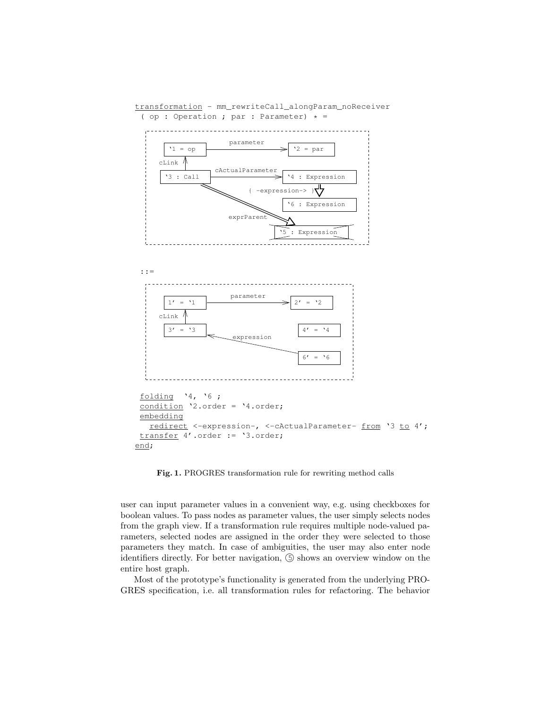transformation - mm\_rewriteCall\_alongParam\_noReceiver ( op : Operation ; par : Parameter)  $* =$ 





```
folding '4, '6 ;
condition '2.order = '4.order;
embedding
  redirect <-expression-, <-cActualParameter- from '3 to 4';
transfer 4'.order := '3.order;
end;
```
Fig. 1. PROGRES transformation rule for rewriting method calls

user can input parameter values in a convenient way, e.g. using checkboxes for boolean values. To pass nodes as parameter values, the user simply selects nodes from the graph view. If a transformation rule requires multiple node-valued parameters, selected nodes are assigned in the order they were selected to those parameters they match. In case of ambiguities, the user may also enter node identifiers directly. For better navigation,  $\circled{S}$  shows an overview window on the entire host graph.

Most of the prototype's functionality is generated from the underlying PRO-GRES specification, i.e. all transformation rules for refactoring. The behavior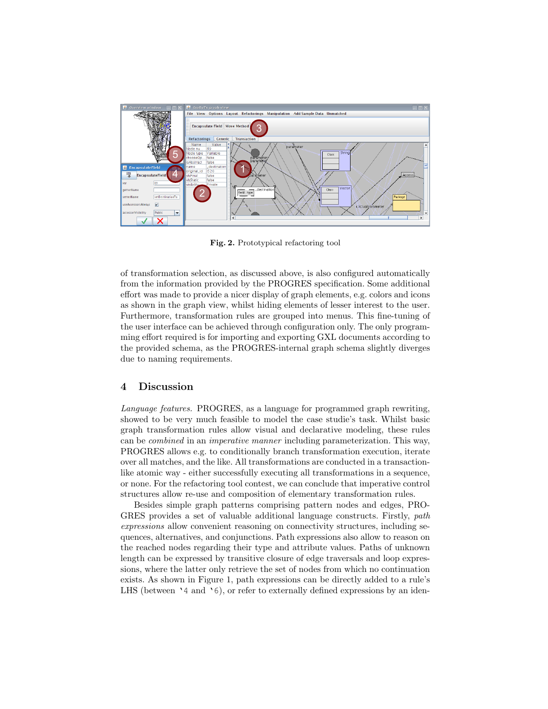

Fig. 2. Prototypical refactoring tool

of transformation selection, as discussed above, is also configured automatically from the information provided by the PROGRES specification. Some additional effort was made to provide a nicer display of graph elements, e.g. colors and icons as shown in the graph view, whilst hiding elements of lesser interest to the user. Furthermore, transformation rules are grouped into menus. This fine-tuning of the user interface can be achieved through configuration only. The only programming effort required is for importing and exporting GXL documents according to the provided schema, as the PROGRES-internal graph schema slightly diverges due to naming requirements.

#### 4 Discussion

Language features. PROGRES, as a language for programmed graph rewriting, showed to be very much feasible to model the case studie's task. Whilst basic graph transformation rules allow visual and declarative modeling, these rules can be combined in an imperative manner including parameterization. This way, PROGRES allows e.g. to conditionally branch transformation execution, iterate over all matches, and the like. All transformations are conducted in a transactionlike atomic way - either successfully executing all transformations in a sequence, or none. For the refactoring tool contest, we can conclude that imperative control structures allow re-use and composition of elementary transformation rules.

Besides simple graph patterns comprising pattern nodes and edges, PRO-GRES provides a set of valuable additional language constructs. Firstly, path expressions allow convenient reasoning on connectivity structures, including sequences, alternatives, and conjunctions. Path expressions also allow to reason on the reached nodes regarding their type and attribute values. Paths of unknown length can be expressed by transitive closure of edge traversals and loop expressions, where the latter only retrieve the set of nodes from which no continuation exists. As shown in Figure 1, path expressions can be directly added to a rule's LHS (between  $\text{A}$  and  $\text{B}$ ), or refer to externally defined expressions by an iden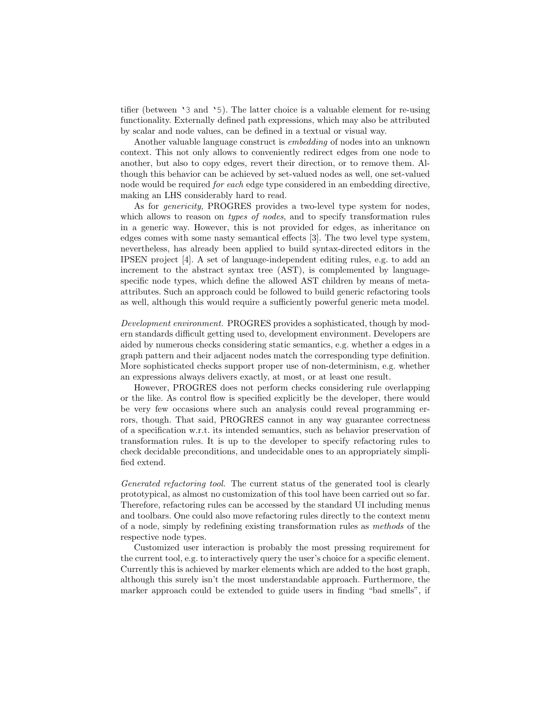tifier (between '3 and '5). The latter choice is a valuable element for re-using functionality. Externally defined path expressions, which may also be attributed by scalar and node values, can be defined in a textual or visual way.

Another valuable language construct is embedding of nodes into an unknown context. This not only allows to conveniently redirect edges from one node to another, but also to copy edges, revert their direction, or to remove them. Although this behavior can be achieved by set-valued nodes as well, one set-valued node would be required for each edge type considered in an embedding directive, making an LHS considerably hard to read.

As for genericity, PROGRES provides a two-level type system for nodes, which allows to reason on *types of nodes*, and to specify transformation rules in a generic way. However, this is not provided for edges, as inheritance on edges comes with some nasty semantical effects [3]. The two level type system, nevertheless, has already been applied to build syntax-directed editors in the IPSEN project [4]. A set of language-independent editing rules, e.g. to add an increment to the abstract syntax tree (AST), is complemented by languagespecific node types, which define the allowed AST children by means of metaattributes. Such an approach could be followed to build generic refactoring tools as well, although this would require a sufficiently powerful generic meta model.

Development environment. PROGRES provides a sophisticated, though by modern standards difficult getting used to, development environment. Developers are aided by numerous checks considering static semantics, e.g. whether a edges in a graph pattern and their adjacent nodes match the corresponding type definition. More sophisticated checks support proper use of non-determinism, e.g. whether an expressions always delivers exactly, at most, or at least one result.

However, PROGRES does not perform checks considering rule overlapping or the like. As control flow is specified explicitly be the developer, there would be very few occasions where such an analysis could reveal programming errors, though. That said, PROGRES cannot in any way guarantee correctness of a specification w.r.t. its intended semantics, such as behavior preservation of transformation rules. It is up to the developer to specify refactoring rules to check decidable preconditions, and undecidable ones to an appropriately simplified extend.

Generated refactoring tool. The current status of the generated tool is clearly prototypical, as almost no customization of this tool have been carried out so far. Therefore, refactoring rules can be accessed by the standard UI including menus and toolbars. One could also move refactoring rules directly to the context menu of a node, simply by redefining existing transformation rules as methods of the respective node types.

Customized user interaction is probably the most pressing requirement for the current tool, e.g. to interactively query the user's choice for a specific element. Currently this is achieved by marker elements which are added to the host graph, although this surely isn't the most understandable approach. Furthermore, the marker approach could be extended to guide users in finding "bad smells", if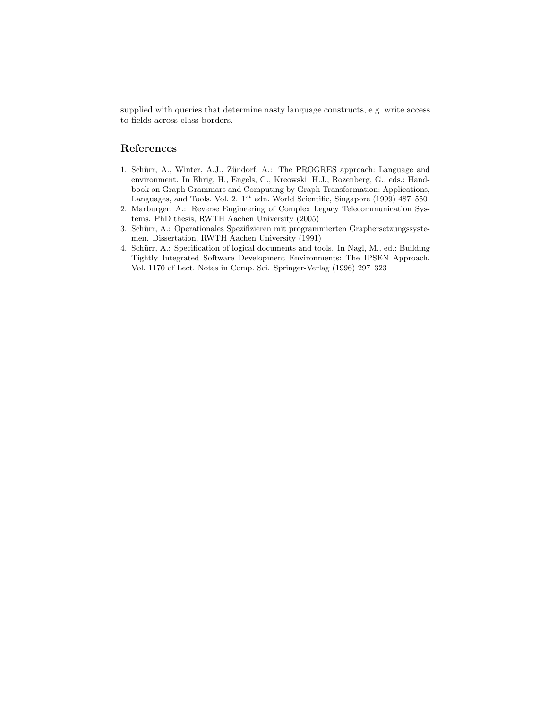supplied with queries that determine nasty language constructs, e.g. write access to fields across class borders.

# References

- 1. Schürr, A., Winter, A.J., Zündorf, A.: The PROGRES approach: Language and environment. In Ehrig, H., Engels, G., Kreowski, H.J., Rozenberg, G., eds.: Handbook on Graph Grammars and Computing by Graph Transformation: Applications, Languages, and Tools. Vol. 2.  $1^{st}$ edn. World Scientific, Singapore (1999) 487–550
- 2. Marburger, A.: Reverse Engineering of Complex Legacy Telecommunication Systems. PhD thesis, RWTH Aachen University (2005)
- 3. Schürr, A.: Operationales Spezifizieren mit programmierten Graphersetzungssystemen. Dissertation, RWTH Aachen University (1991)
- 4. Schürr, A.: Specification of logical documents and tools. In Nagl, M., ed.: Building Tightly Integrated Software Development Environments: The IPSEN Approach. Vol. 1170 of Lect. Notes in Comp. Sci. Springer-Verlag (1996) 297–323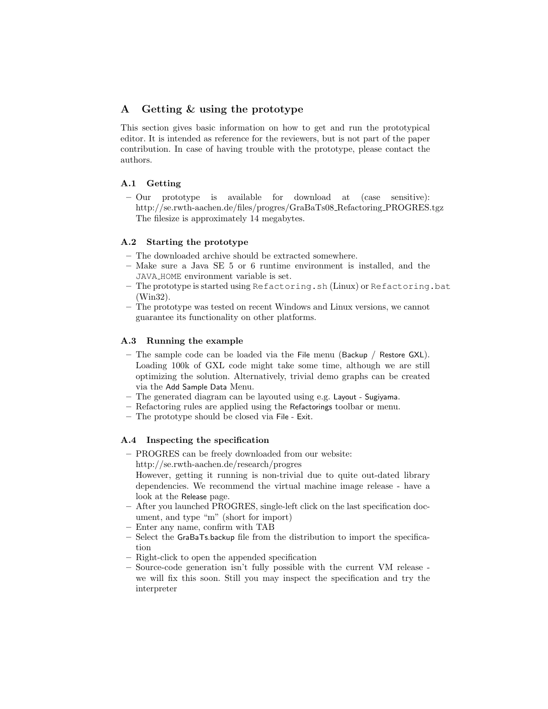# A Getting & using the prototype

This section gives basic information on how to get and run the prototypical editor. It is intended as reference for the reviewers, but is not part of the paper contribution. In case of having trouble with the prototype, please contact the authors.

## A.1 Getting

– Our prototype is available for download at (case sensitive): http://se.rwth-aachen.de/files/progres/GraBaTs08 Refactoring PROGRES.tgz The filesize is approximately 14 megabytes.

## A.2 Starting the prototype

- The downloaded archive should be extracted somewhere.
- Make sure a Java SE 5 or 6 runtime environment is installed, and the JAVA HOME environment variable is set.
- The prototype is started using Refactoring.sh (Linux) or Refactoring.bat (Win32).
- The prototype was tested on recent Windows and Linux versions, we cannot guarantee its functionality on other platforms.

## A.3 Running the example

- The sample code can be loaded via the File menu (Backup / Restore GXL). Loading 100k of GXL code might take some time, although we are still optimizing the solution. Alternatively, trivial demo graphs can be created via the Add Sample Data Menu.
- The generated diagram can be layouted using e.g. Layout Sugiyama.
- Refactoring rules are applied using the Refactorings toolbar or menu.
- The prototype should be closed via File Exit.

## A.4 Inspecting the specification

- PROGRES can be freely downloaded from our website: http://se.rwth-aachen.de/research/progres
	- However, getting it running is non-trivial due to quite out-dated library dependencies. We recommend the virtual machine image release - have a look at the Release page.
- After you launched PROGRES, single-left click on the last specification document, and type "m" (short for import)
- Enter any name, confirm with TAB
- Select the GraBaTs.backup file from the distribution to import the specification
- Right-click to open the appended specification
- Source-code generation isn't fully possible with the current VM release we will fix this soon. Still you may inspect the specification and try the interpreter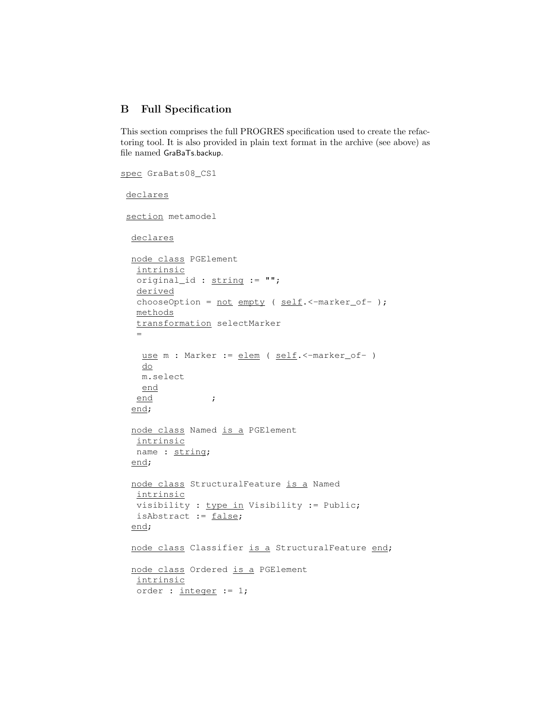# B Full Specification

This section comprises the full PROGRES specification used to create the refactoring tool. It is also provided in plain text format in the archive (see above) as file named GraBaTs.backup.

```
spec GraBats08_CS1
declares
 section metamodel
 declares
 node class PGElement
  intrinsic
  original_id : string := "";
  derived
  chooseOption = not empty ( self.<-marker_of- );
  methods
  transformation selectMarker
  =use m : Marker := elem ( self. <- marker_of- )
   do
   m.select
   end
  end ;
  end;
 node class Named is a PGElement
  intrinsic
  name : string;
  end;
 node class StructuralFeature is a Named
  intrinsic
  visibility : type in Visibility := Public;
  isAbstract := false;
 end;
 node class Classifier is a StructuralFeature end;
 node class Ordered is a PGElement
  intrinsic
  order : integer := 1;
```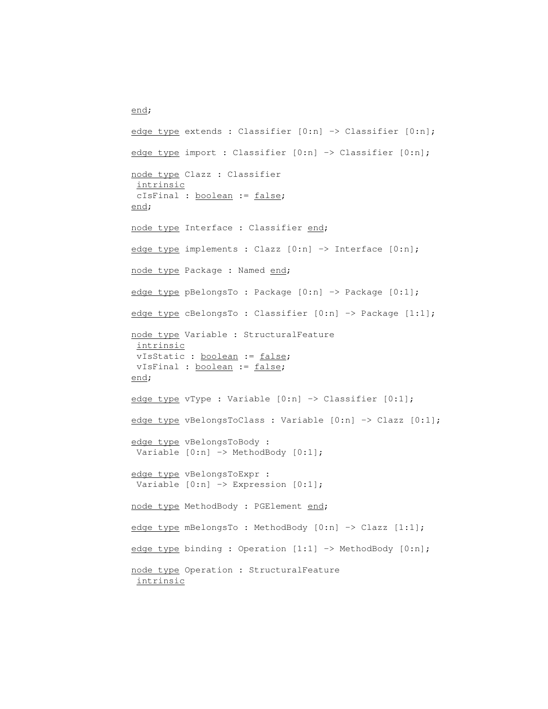edge type extends : Classifier [0:n] -> Classifier [0:n]; edge type import : Classifier [0:n] -> Classifier [0:n]; node type Clazz : Classifier intrinsic cIsFinal : boolean := false; end; node type Interface : Classifier end; edge type implements : Clazz [0:n] -> Interface [0:n]; node type Package : Named end; edge type pBelongsTo : Package [0:n] -> Package [0:1]; edge type cBelongsTo : Classifier [0:n] -> Package [1:1]; node type Variable : StructuralFeature intrinsic vIsStatic : boolean := false; vIsFinal : boolean := false; end; edge type vType : Variable [0:n] -> Classifier [0:1]; edge type vBelongsToClass : Variable [0:n] -> Clazz [0:1]; edge type vBelongsToBody : Variable  $[0:n] \rightarrow$  MethodBody  $[0:1]$ ; edge type vBelongsToExpr : Variable  $[0:n] \rightarrow$  Expression  $[0:1]$ ; node type MethodBody : PGElement end; edge type mBelongsTo : MethodBody [0:n] -> Clazz [1:1]; edge type binding : Operation [1:1] -> MethodBody [0:n]; node type Operation : StructuralFeature intrinsic

end;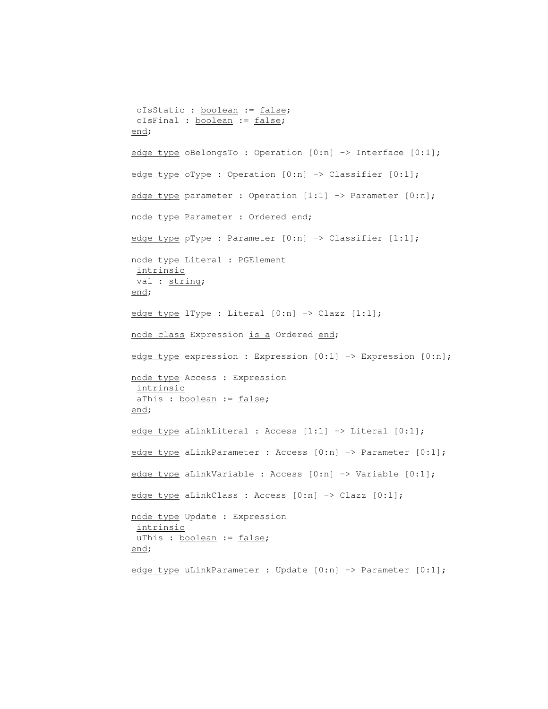```
oIsStatic : boolean := false;
oIsFinal : boolean := false;
end;
edge type oBelongsTo : Operation [0:n] -> Interface [0:1];
edge type oType : Operation [0:n] -> Classifier [0:1];
edge type parameter : Operation [1:1] -> Parameter [0:n];
node type Parameter : Ordered end;
edge type pType : Parameter [0:n] -> Classifier [1:1];
node type Literal : PGElement
intrinsic
val : string;
end;
edge type lType : Literal [0:n] \rightarrow Clazz [1:1];
node class Expression is a Ordered end;
edge type expression : Expression [0:1] -> Expression [0:n];
node type Access : Expression
intrinsic
aThis : boolean := false;
end;
edge type aLinkLiteral : Access [1:1] -> Literal [0:1];
edge type aLinkParameter : Access [0:n] -> Parameter [0:1];
edge type aLinkVariable : Access [0:n] -> Variable [0:1];
edge type aLinkClass : Access [0:n] -> Clazz [0:1];
node type Update : Expression
intrinsic
uThis : boolean := false;
end;
edge type uLinkParameter : Update [0:n] -> Parameter [0:1];
```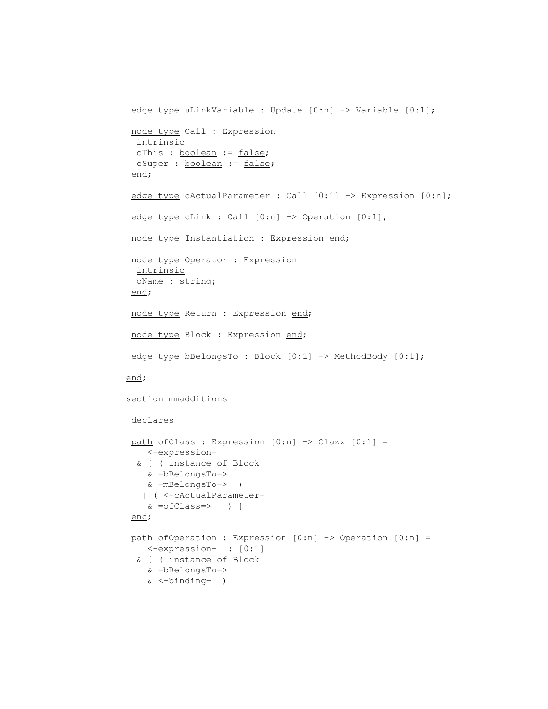```
edge type uLinkVariable : Update [0:n] -> Variable [0:1];
node type Call : Expression
 intrinsic
 cThis : boolean := false;
 cSuper : boolean := false;
 end;
edge type cActualParameter : Call [0:1] -> Expression [0:n];
edge type cLink : Call [0:n] -> Operation [0:1];
node type Instantiation : Expression end;
node type Operator : Expression
 intrinsic
 oName : string;
end;
node type Return : Expression end;
node type Block : Expression end;
edge type bBelongsTo : Block [0:1] -> MethodBody [0:1];
end;
section mmadditions
declares
path ofClass : Expression [0:n] \rightarrow Clazz [0:1] =<-expression-
 & [ ( instance of Block
   & -bBelongsTo->
   & -mBelongsTo-> )
   | ( <-cActualParameter-
   & =ofClass=> ) ]
end;
path of Operation : Expression [0:n] \rightarrow Operation [0:n] =<-expression- : [0:1]
 & [ ( instance of Block
   & -bBelongsTo->
   & <-binding- )
```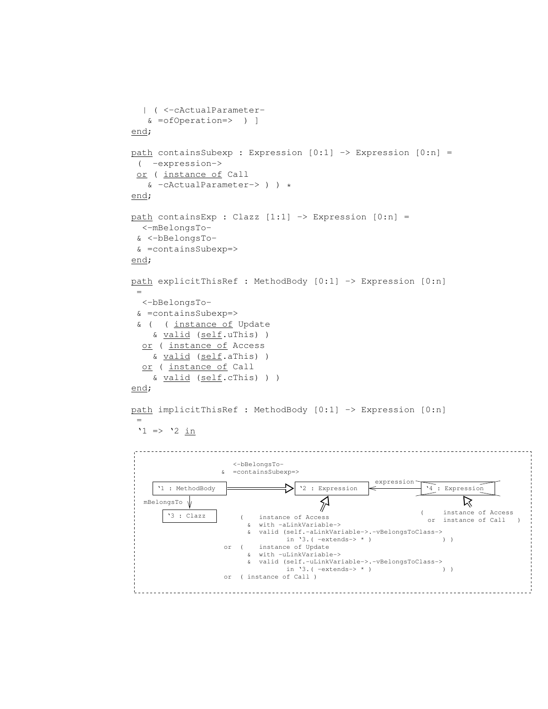```
| ( <-cActualParameter-
   & =ofOperation=> ) ]
end;
path containsSubexp : Expression [0:1] -> Expression [0:n] =
 ( -expression->
 or ( instance of Call
   & -cActualParameter-> ) ) *
end;
path containsExp : Clazz [1:1] -> Expression [0:n] =
  <-mBelongsTo-
 & <-bBelongsTo-
 & =containsSubexp=>
end;
path explicitThisRef : MethodBody [0:1] -> Expression [0:n]
 =
  <-bBelongsTo-
 & =containsSubexp=>
 & ( ( instance of Update
    & valid (self.uThis) )
  or ( instance of Access
    & valid (self.aThis) )
  or ( instance of Call
    & valid (self.cThis) ) )
end;
path implicitThisRef : MethodBody [0:1] -> Expression [0:n]
 =
 '1 => '2 in
  <−bBelongsTo−
                 & =containsSubexp=>
                                               expression
     '1 : MethodBody
                                '2 : Expression
                                                         '4 : Expression
                                    \sum\trianglerightmBelongsTo
                                                       ( instance of Access
       '3 : Clazz
                      ( instance of Access
                                                          or instance of Call ) & with −aLinkVariable−>
                       & valid (self.−aLinkVariable−>.−vBelongsToClass−>
                              in '3.( −extends−> * ) ) )
                 or ( instance of Update
                       & with −uLinkVariable−>
                       & valid (self.−uLinkVariable−>.−vBelongsToClass−>
                              in '3.( −extends−> * ) ) )
                 or ( instance of Call )
```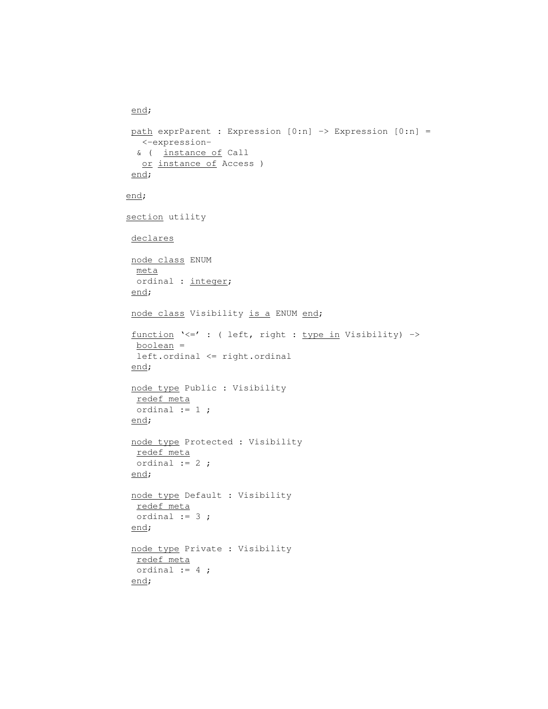```
end;
path exprParent : Expression [0:n] -> Expression [0:n] =
  <-expression-
 & ( instance of Call
  or instance of Access )
end;
end;
section utility
declares
node class ENUM
 meta
 ordinal : integer;
 end;
node class Visibility is a ENUM end;
 function '<=' : ( left, right : type in Visibility) ->
 boolean =
 left.ordinal <= right.ordinal
 end;
node type Public : Visibility
 redef meta
 ordinal := 1;
 end;
node type Protected : Visibility
 redef meta
 ordinal := 2;
end;
node type Default : Visibility
 redef meta
 ordinal := 3 ;
end;
node type Private : Visibility
 redef meta
 ordinal := 4;
 end;
```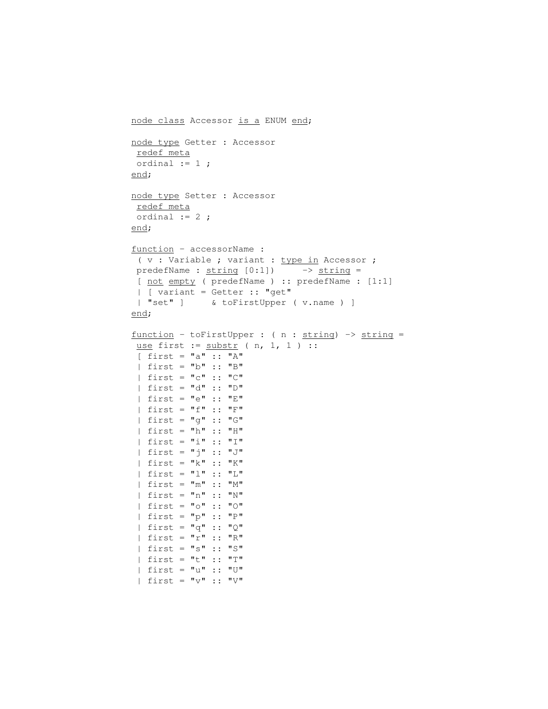```
node class Accessor is a ENUM end;
node type Getter : Accessor
redef meta
ordinal := 1 ;
end;
node type Setter : Accessor
redef meta
ordinal := 2;
end;
function - accessorName :
 ( v : Variable ; variant : type in Accessor ;
predefName : string [0:1]) \longrightarrow string =[ not empty ( predefName ) :: predefName : [1:1]
 | [ variant = Getter :: "get"
 | "set" ] & toFirstUpper ( v.name ) ]
end;
function - toFirstUpper : (n : string) \rightarrow string =use first := substr ( n, 1, 1 ) ::[ first = "a" :: "A"
 | first = "b" :: "B"
 | first = "c" :: "C"
 | first = "d" :: "D"
 | first = "e" :: "E"
 | first = "f" :: "F"
 | first = "g" :: "G"
 | first = "h" :: "H"
 | first = "i" :: "I"
 | first = "j" :: "J"
 | first = "k" :: "K"
 | first = "l" :: "L"
 | first = "m" :: "M"
 | first = "n" :: "N"
 | first = "o" :: "O"
 | first = "p" :: "P"
 | first = "q" :: "Q"
 | first = "r" :: "R"
 | first = "s" :: "S"
 | first = "t" :: "T"
 | first = "u" :: "U"
```
 $|$  first = "v" :: "V"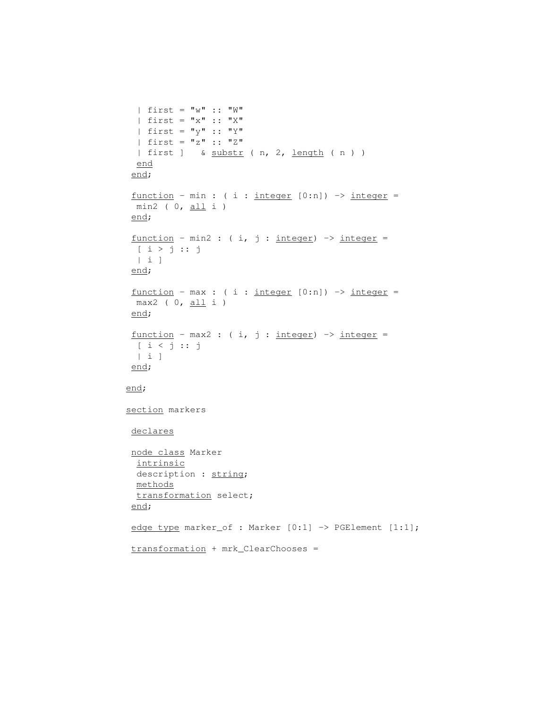```
| first = "w" :: "W"
  | first = "x" :: "X"| first = "\mathbf{y}" :: "Y"
 | first = "z" :: "Z"
 | first ] & substr ( n, 2, length ( n ) )
 end
 end;
 function - min : ( i : integer [0:n]) -> integer =
 min2 ( 0, <u>all</u> i )
 end;
 function - min2: ( i, j : integer) \rightarrow integer =
 [ i > j :: j ]| i ]
 end;
function - max : (i : integer [0:n]) \rightarrow integer =max2 ( 0, <u>all</u> i )
end;
 function - max2 : (i, j : integer) \rightarrow integer =[ i < j :: j
 | i ]
end;
end;
section markers
declares
node class Marker
  intrinsic
 description : string;
 methods
 transformation select;
 end;
edge type marker_of : Marker [0:1] -> PGElement [1:1];
transformation + mrk_ClearChooses =
```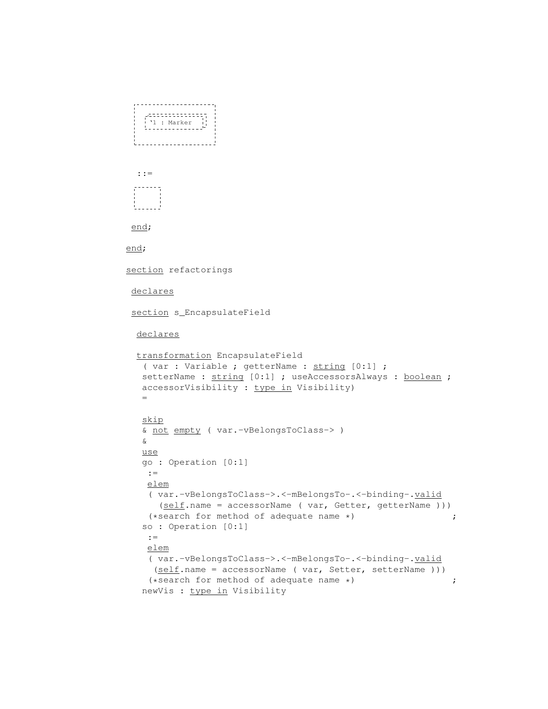```
|<br>| '1 : Marker<br>|--------------<sup>1</sup>
 t_____________________
 ::=
 end;
end;
section refactorings
declares
 section s_EncapsulateField
 declares
 transformation EncapsulateField
   ( var : Variable ; getterName : string [0:1] ;
   setterName : string [0:1] ; useAccessorsAlways : boolean ;
   accessorVisibility : type in Visibility)
   =
   skip
   & not empty ( var.-vBelongsToClass-> )
   &
   use
   go : Operation [0:1]
    :=
    elem
    ( var.-vBelongsToClass->.<-mBelongsTo-.<-binding-.valid
      (self.name = accessorName ( var, Getter, getterName )))
    (*search for method of adequate name *) \qquad \qquad ;so : Operation [0:1]
    : =elem
    ( var.-vBelongsToClass->.<-mBelongsTo-.<-binding-.valid
    (self.name = accessorName ( var, Setter, setterName)))(*search for method of adequate name *) \qquad \qquad ;newVis : type in Visibility
```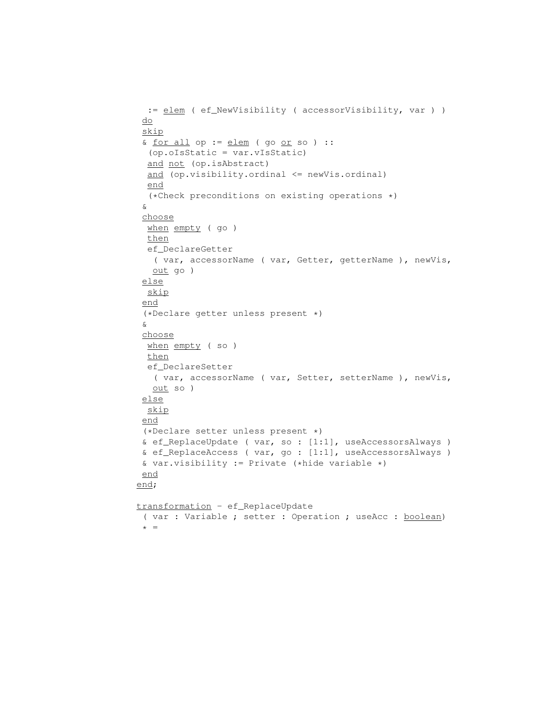```
:= elem ( ef_NewVisibility ( accessorVisibility, var ) )
do
 skip
 & <u>for all</u> op := <u>elem</u> ( go <u>or</u> so ) ::
 (op.oIsStatic = var.vIsStatic)
 and not (op.isAbstract)
 and (op.visibility.ordinal <= newVis.ordinal)
 end
  (*Check preconditions on existing operations *)
 &
 choose
 when empty ( go )
 then
 ef_DeclareGetter
  ( var, accessorName ( var, Getter, getterName ), newVis,
  out go )
 else
 skip
 end
 (*Declare getter unless present *)
 &
 choose
 when empty (so)
 then
 ef_DeclareSetter
   ( var, accessorName ( var, Setter, setterName ), newVis,
   out so )
else
 skip
 end
 (*Declare setter unless present *)
& ef_ReplaceUpdate ( var, so : [1:1], useAccessorsAlways )
 & ef_ReplaceAccess ( var, go : [1:1], useAccessorsAlways )
& var.visibility := Private (*hide variable *)
end
end;
transformation - ef_ReplaceUpdate
 ( var : Variable ; setter : Operation ; useAcc : boolean)
 * =
```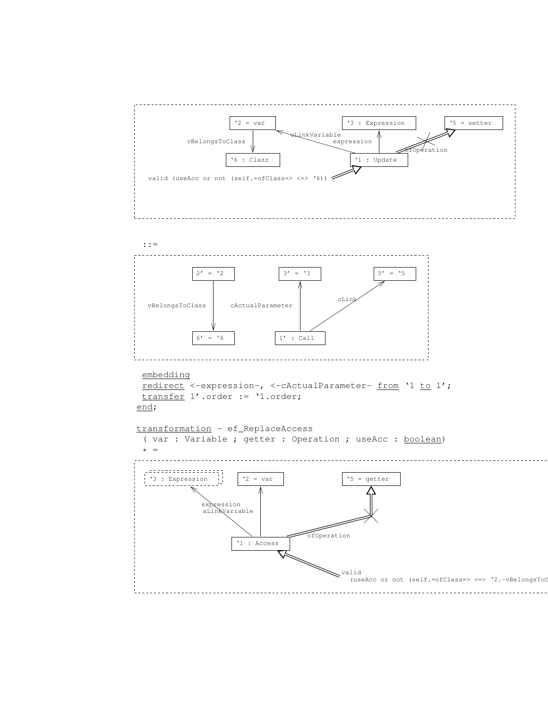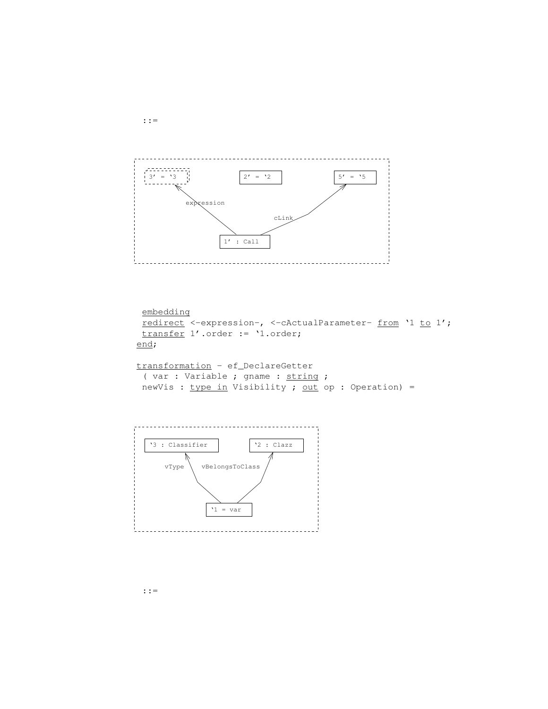

```
embedding
 redirect <-expression-, <-cActualParameter- from '1 to 1';
 transfer 1'.order := '1.order;
end;
transformation - ef_DeclareGetter
```

```
( var : Variable ; gname : string ;
newVis : type in Visitility ; out op : Operation) =
```
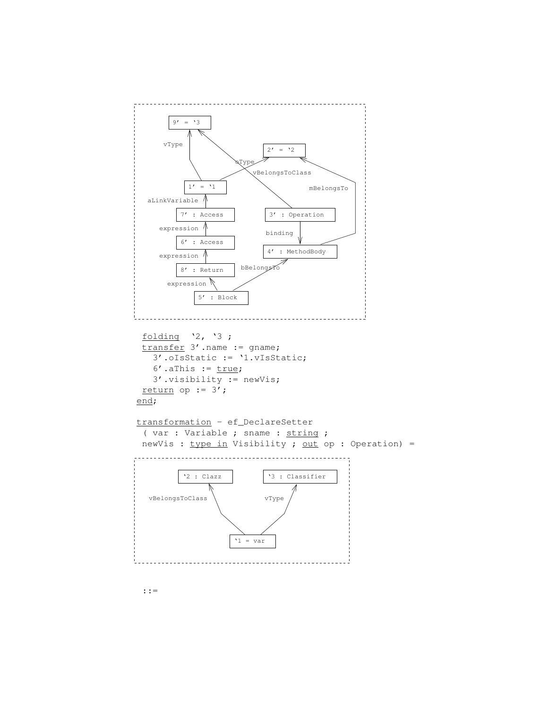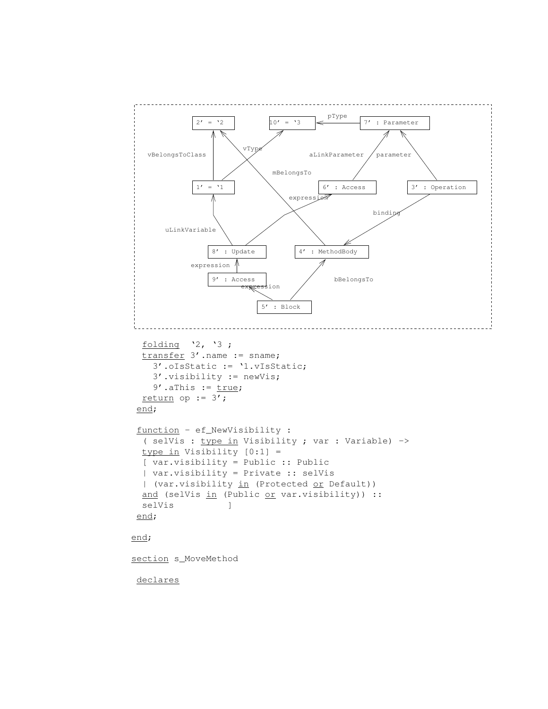```
2' = '2 10' = '3
   vBelongsToClass
                             mBelongsTo
                                   4' : MethodBody
                                          bBelongsTo
       uLinkVariable
                                 expres:
                8' : Update
                                     aLinkParameter / parameter
                                       6' : Access
                            sion
                           5' : Block
            expression \mathbb A9' : Access
                       vType
             1' = '1pType
                                                7' : Parameter
                                                  binding
                                                          3' : Operation
  folding '2, '3 ;
  transfer 3'.name := sname;
    3'.oIsStatic := '1.vIsStatic;
    3'.visibility := newVis;
    9' .aThis := true;return op := 3';
 end;
 function - ef_NewVisibility :
  ( selVis : type in Visibility ; var : Variable) ->
  type in Visibility [0:1] =
  [ var.visibility = Public :: Public
  | var.visibility = Private :: selVis
  | (var.visibility in (Protected or Default))
  and (selVis in (Public or var.visibility)) ::
  selVis  ]
 end;
end;
section s_MoveMethod
 declares
```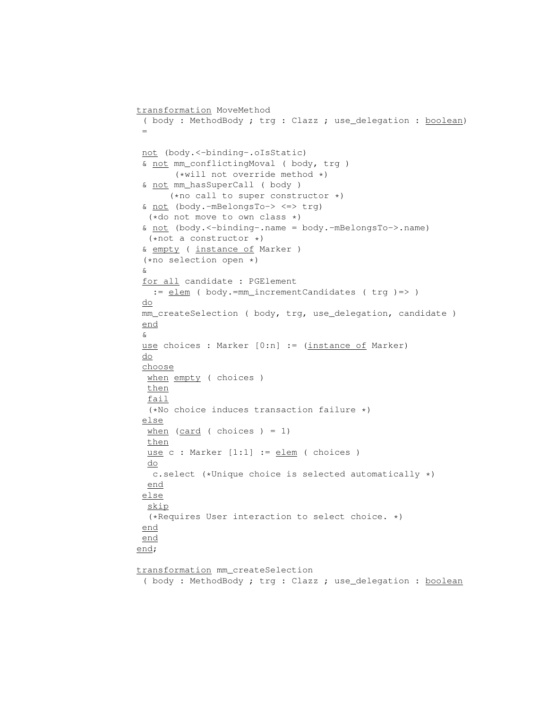```
transformation MoveMethod
```

```
( body : MethodBody ; trg : Clazz ; use_delegation : boolean)
 =
not (body.<-binding-.oIsStatic)
& not mm_conflictingMoval ( body, trg )
       (*will not override method *)
 & not mm_hasSuperCall ( body )
      (*no call to super constructor *)
 & not (body.-mBelongsTo-> <=> trg)
  (*do not move to own class *)
 & not (body.<-binding-.name = body.-mBelongsTo->.name)
 (*not a constructor *)
 & empty ( instance of Marker )
 (*no selection open *)
&
for all candidate : PGElement
  := elem ( body.=mm_incrementCandidates ( trg ) => )
do
mm_createSelection ( body, trg, use_delegation, candidate )
end
&
use choices : Marker [0:n] := (instance of Marker)
do
choose
 when empty ( choices )
 then
 fail
 (*No choice induces transaction failure *)
 else
 when (\text{card} (choice) = 1)then
 use c : Marker [1:1] := \underline{elem} ( choices )
 do
  c.select (*Unique choice is selected automatically *)
 end
 else
 skip
 (*Requires User interaction to select choice. *)
end
end
end;
```
transformation mm\_createSelection

( body : MethodBody ; trg : Clazz ; use\_delegation : boolean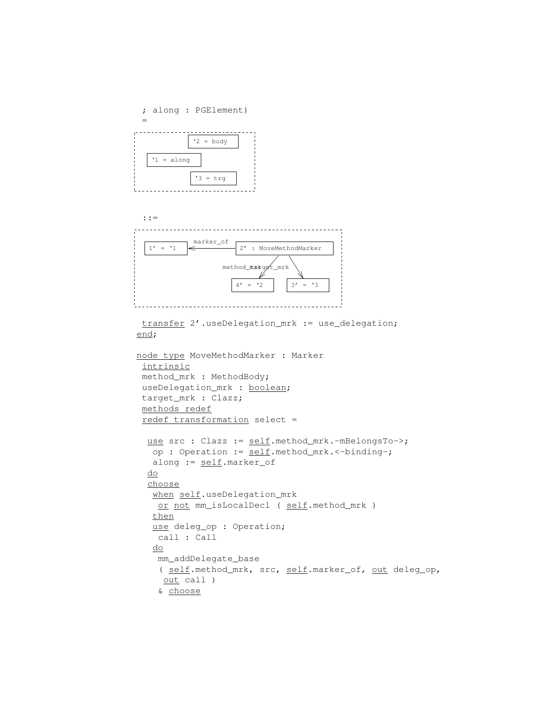



transfer 2'.useDelegation\_mrk := use\_delegation; end;

```
node type MoveMethodMarker : Marker
intrinsic
method_mrk : MethodBody;
useDelegation_mrk : boolean;
target_mrk : Clazz;
methods redef
 redef transformation select =
 use src : Clazz := self.method_mrk.-mBelongsTo->;
  op : Operation := self.method_mrk.<-binding-;
  along := self.marker_of
  do
  choose
   when self.useDelegation_mrk
   or not mm_isLocalDecl ( self.method_mrk )
  then
  use deleg_op : Operation;
   call : Call
   do
   mm_addDelegate_base
   ( self.method_mrk, src, self.marker_of, out deleg_op,
    out call )
    & choose
```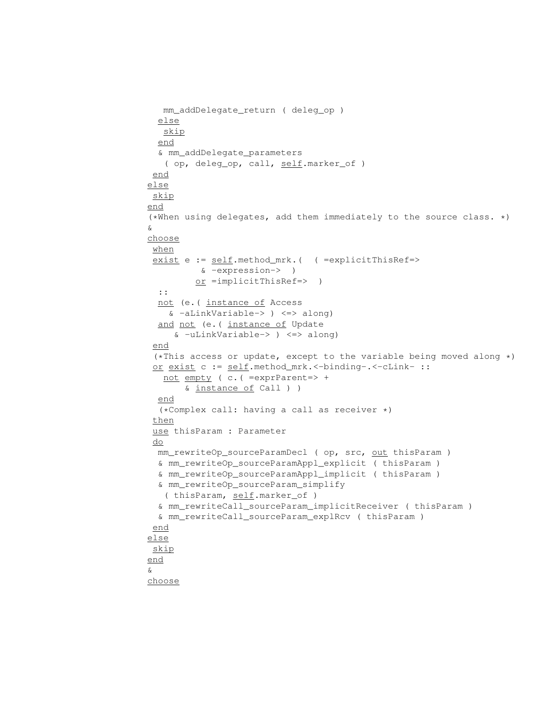```
mm_addDelegate_return ( deleg_op )
  else
  skip
  end
  & mm_addDelegate_parameters
   ( op, deleg_op, call, self.marker_of )
 end
else
 skip
end
(*When using delegates, add them immediately to the source class. *)
&
choose
when
 exist e := self.method_mrk.( ( =explicitThisRef=>
         & -expression-> )
         or =implicitThisRef=> )
  ::
  not (e.( instance of Access
   & -aLinkVariable-> ) <=> along)
  and not (e. ( instance of Update
     & -uLinkVariable-> ) <=> along)
 end
 (*This access or update, except to the variable being moved along *)
 or exist c := self.method_mrk.<-binding-.<-cLink- ::
   not empty ( c.( =exprParent=> +
       & instance of Call ) )
 end
  (*Complex call: having a call as receiver *)
 then
 use thisParam : Parameter
 do
 mm_rewriteOp_sourceParamDecl ( op, src, out thisParam )
  & mm_rewriteOp_sourceParamAppl_explicit ( thisParam )
 & mm_rewriteOp_sourceParamAppl_implicit ( thisParam )
  & mm_rewriteOp_sourceParam_simplify
   ( thisParam, self.marker_of )
  & mm_rewriteCall_sourceParam_implicitReceiver ( thisParam )
  & mm_rewriteCall_sourceParam_explRcv ( thisParam )
 end
else
skip
end
&
choose
```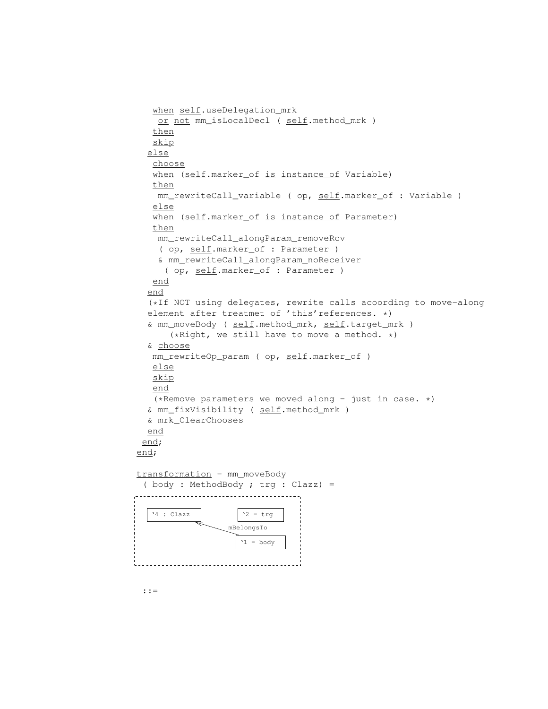```
when self.useDelegation_mrk
   or not mm_isLocalDecl ( self.method_mrk )
  then
  skip
  else
  choose
  when (self.marker_of is instance of Variable)
  then
   mm_rewriteCall_variable ( op, self.marker_of : Variable )
  else
  when (self.marker_of is instance of Parameter)
  then
   mm_rewriteCall_alongParam_removeRcv
   ( op, self.marker_of : Parameter )
   & mm_rewriteCall_alongParam_noReceiver
    ( op, self.marker_of : Parameter )
  end
  end
  (*If NOT using delegates, rewrite calls acoording to move-along
 element after treatmet of 'this'references. *)
  & mm_moveBody ( self.method_mrk, self.target_mrk )
      (*Right, we still have to move a method. *)
  & choose
  mm_rewriteOp_param ( op, self.marker_of )
  else
  skip
  end
  (*Remove parameters we moved along - just in case. *)
 & mm_fixVisibility ( self.method_mrk )
 & mrk_ClearChooses
 end
end;
end;
transformation - mm_moveBody
 ( body : MethodBody ; trg : Clazz) =
'4 : Clazz \vert '2 = trg
                 mBelongsTo
```
 $'1 = body$ 

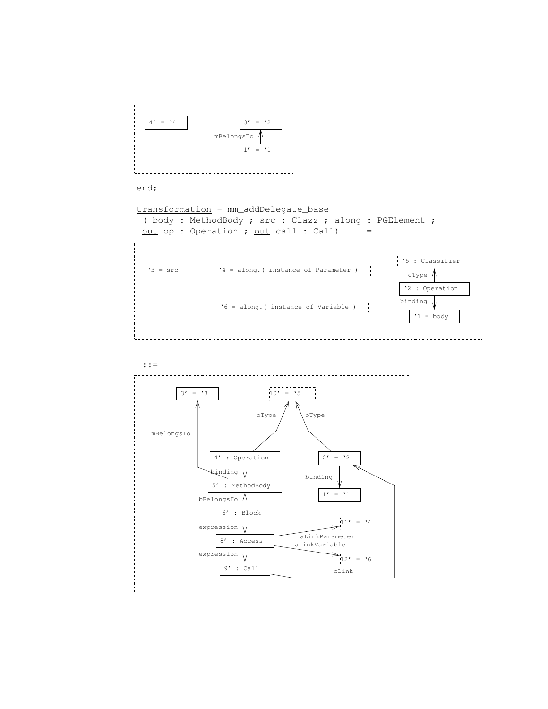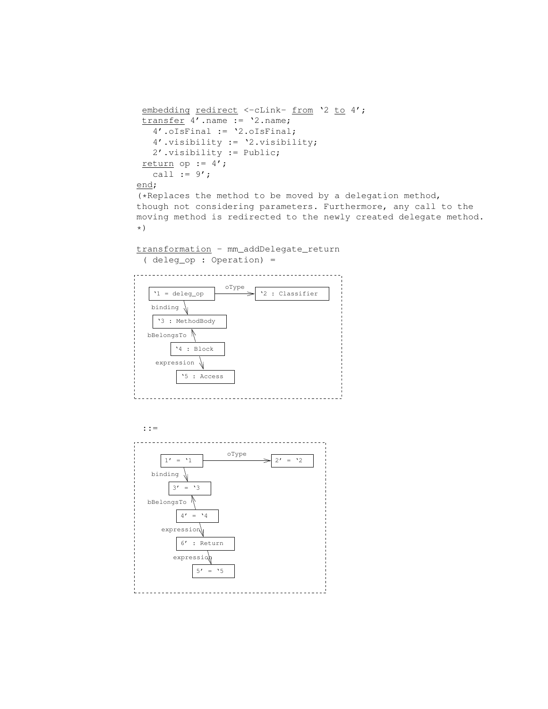```
embedding redirect <- cLink- from '2 to 4';
 transfer 4'.name := '2.name;
   4'.oIsFinal := '2.oIsFinal;
   4'.visibility := '2.visibility;
   2'.visibility := Public;
 return op := 4';
   call := 9';
end;
(*Replaces the method to be moved by a delegation method,
though not considering parameters. Furthermore, any call to the
moving method is redirected to the newly created delegate method.
*)
```

```
transformation - mm_addDelegate_return
 ( deleg_op : Operation) =
```


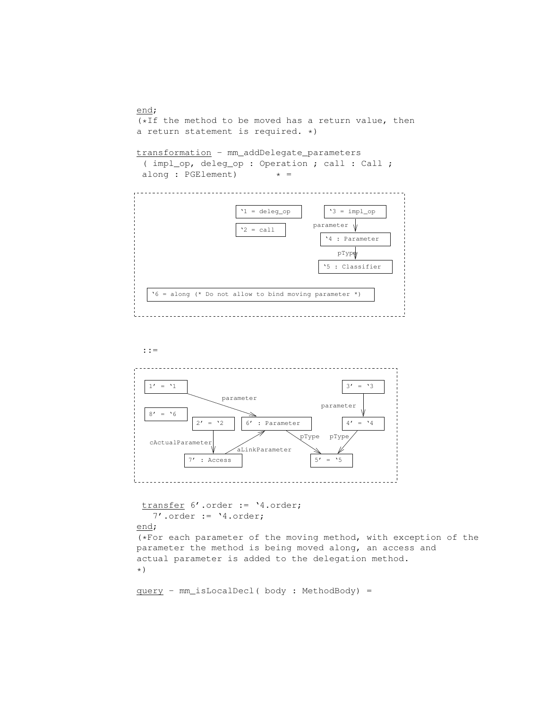



transfer 6'.order := '4.order; 7'.order := '4.order;

## end;

(\*For each parameter of the moving method, with exception of the parameter the method is being moved along, an access and actual parameter is added to the delegation method. \*)

```
query - mm_isLocalDecl( body : MethodBody) =
```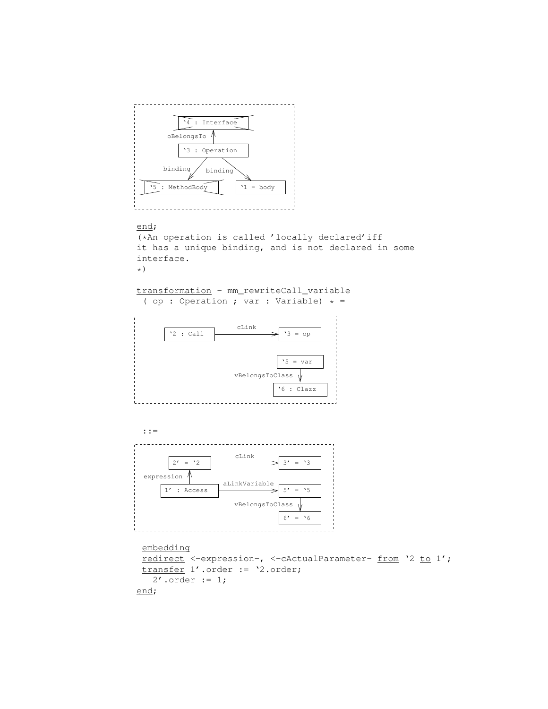

#### end;

(\*An operation is called 'locally declared'iff it has a unique binding, and is not declared in some interface. \*)

transformation - mm\_rewriteCall\_variable ( op : Operation ; var : Variable) \* =





```
embedding
redirect <-expression-, <-cActualParameter- from '2 to 1';
transfer 1'.order := '2.order;
  2'.order := 1;
end;
```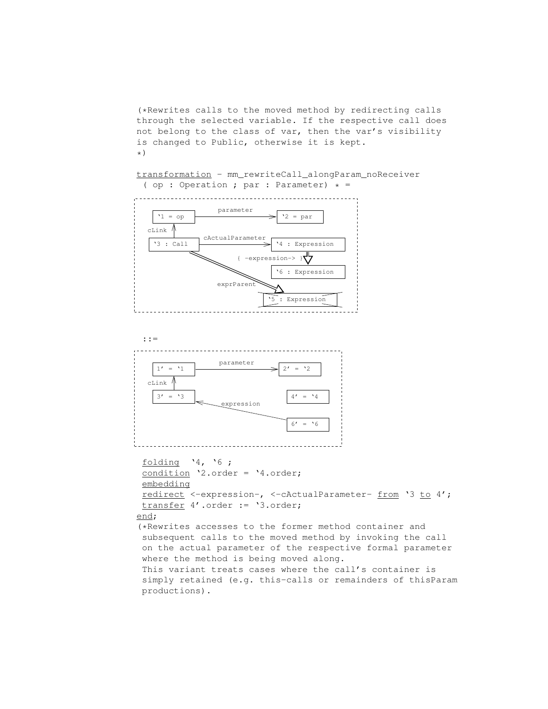(\*Rewrites calls to the moved method by redirecting calls through the selected variable. If the respective call does not belong to the class of var, then the var's visibility is changed to Public, otherwise it is kept. \*)

transformation - mm\_rewriteCall\_alongParam\_noReceiver ( op : Operation ; par : Parameter)  $* =$ 





folding '4, '6 ; condition '2.order = '4.order; embedding redirect <-expression-, <-cActualParameter- from '3 to 4'; transfer 4'.order := '3.order; end; (\*Rewrites accesses to the former method container and subsequent calls to the moved method by invoking the call on the actual parameter of the respective formal parameter where the method is being moved along. This variant treats cases where the call's container is simply retained (e.g. this-calls or remainders of thisParam productions).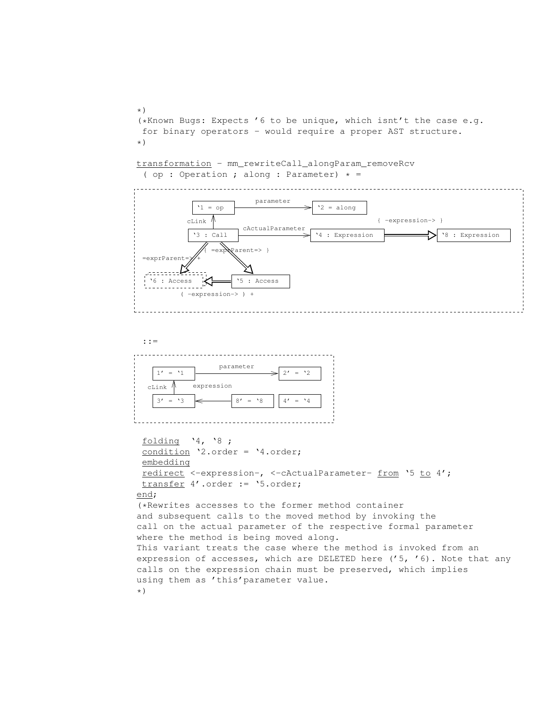\*) (\*Known Bugs: Expects '6 to be unique, which isnt't the case e.g. for binary operators - would require a proper AST structure. \*)

transformation - mm\_rewriteCall\_alongParam\_removeRcv ( op : Operation ; along : Parameter)  $* =$ 





```
folding '4, '8 ;
 condition '2.order = '4.order;
 embedding
 redirect <-expression-, <-cActualParameter- from '5 to 4';
 transfer 4'.order := '5.order;
end;
(*Rewrites accesses to the former method container
and subsequent calls to the moved method by invoking the
call on the actual parameter of the respective formal parameter
where the method is being moved along.
This variant treats the case where the method is invoked from an
expression of accesses, which are DELETED here ('5, '6). Note that any
calls on the expression chain must be preserved, which implies
using them as 'this'parameter value.
*)
```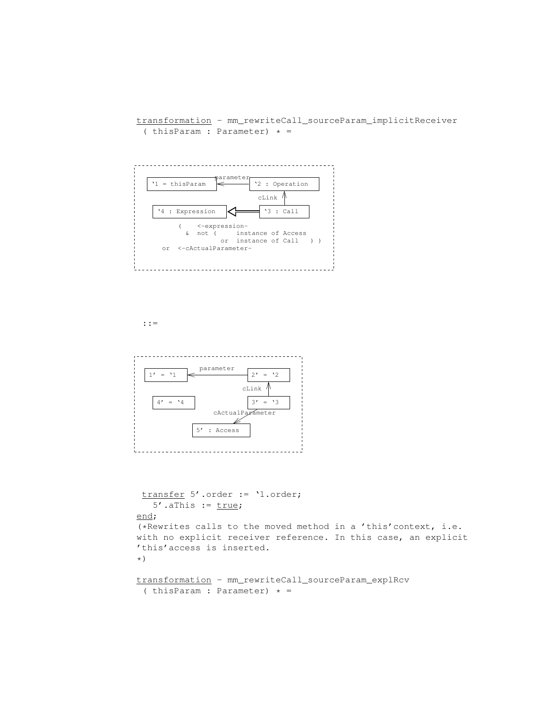transformation - mm\_rewriteCall\_sourceParam\_implicitReceiver ( thisParam : Parameter)  $* =$ 





```
transfer 5'.order := '1.order;
   5'.aThis := true;
end;
(*Rewrites calls to the moved method in a 'this'context, i.e.
with no explicit receiver reference. In this case, an explicit
'this'access is inserted.
*)
transformation - mm_rewriteCall_sourceParam_explRcv
```

```
( thisParam : Parameter) * =
```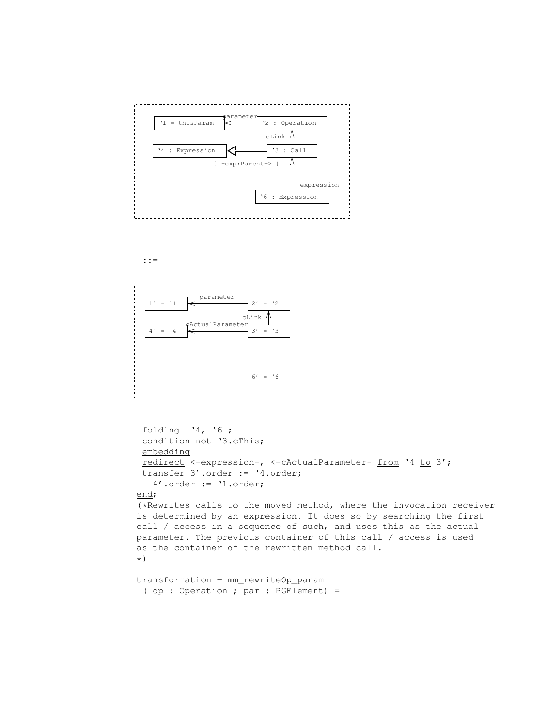



```
folding '4, '6 ;
 condition not '3.cThis;
embedding
 redirect <-expression-, <-cActualParameter- from '4 to 3';
transfer 3'.order := '4.order;
   4'.order := '1.order;
end;
(*Rewrites calls to the moved method, where the invocation receiver
```

```
is determined by an expression. It does so by searching the first
call / access in a sequence of such, and uses this as the actual
parameter. The previous container of this call / access is used
as the container of the rewritten method call.
*)
```

```
transformation - mm_rewriteOp_param
 ( op : Operation ; par : PGElement) =
```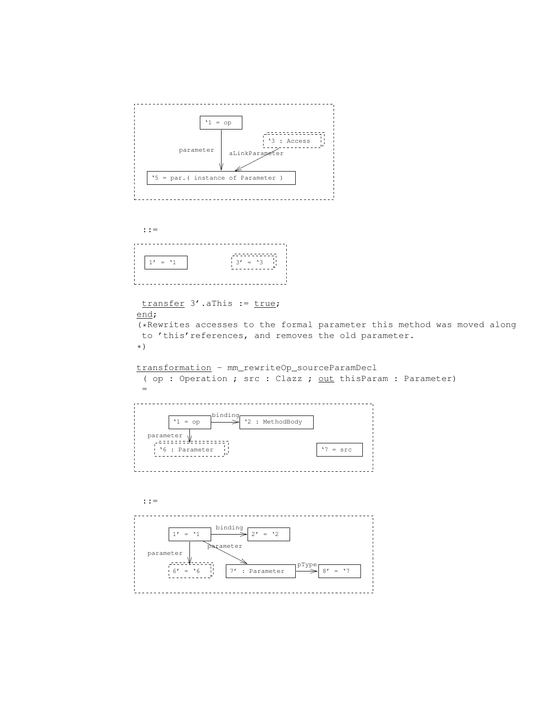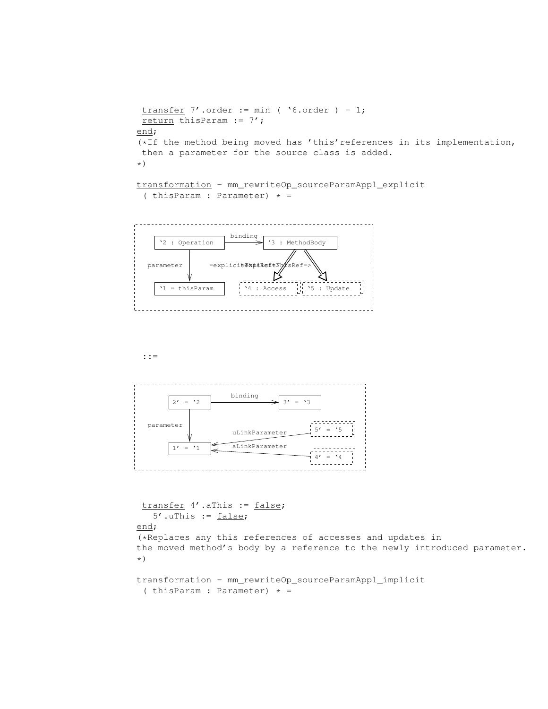```
transfer 7'.order := min ( '6.order ) - 1;
return thisParam := 7';
end;
(*If the method being moved has 'this'references in its implementation,
then a parameter for the source class is added.
*)
```

```
transformation - mm_rewriteOp_sourceParamAppl_explicit
 ( thisParam : Parameter) * =
```




transfer 4'.aThis := false;  $5'$ .uThis :=  $false;$ end; (\*Replaces any this references of accesses and updates in the moved method's body by a reference to the newly introduced parameter. \*)

```
transformation - mm_rewriteOp_sourceParamAppl_implicit
 ( thisParam : Parameter) * =
```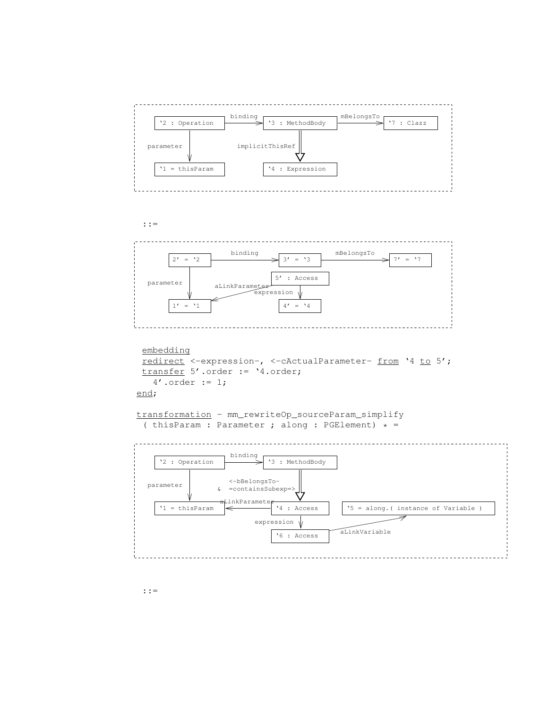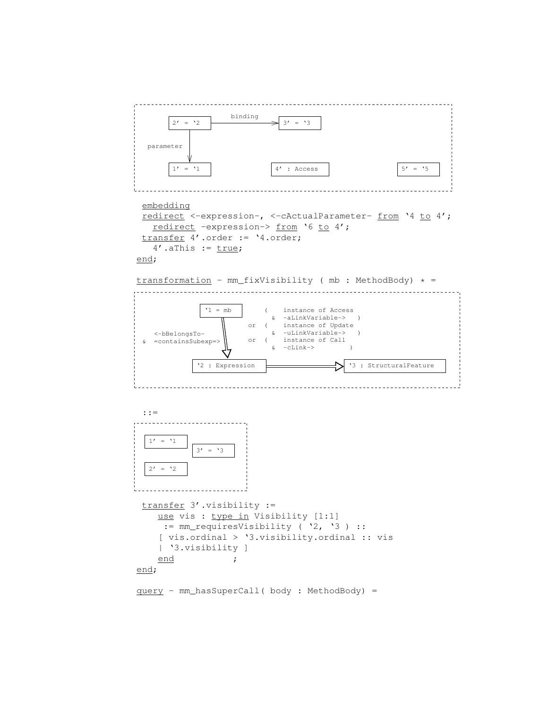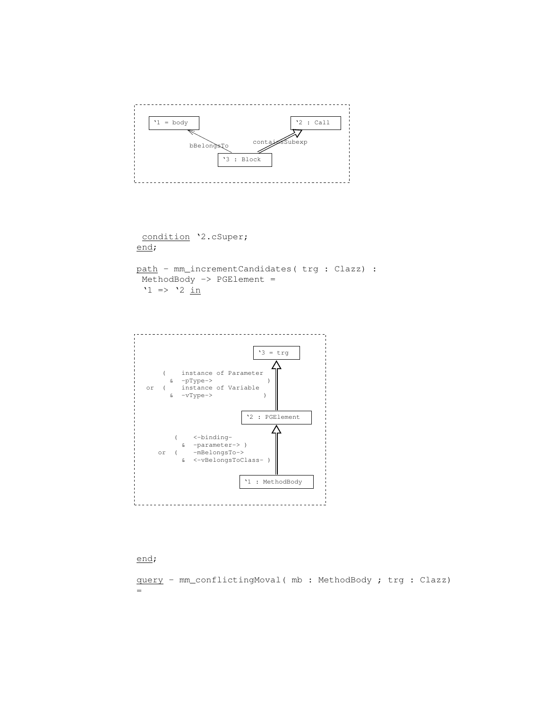

condition '2.cSuper; end;

path - mm\_incrementCandidates( trg : Clazz) : MethodBody -> PGElement =  $'1$  =>  $'2$  <u>in</u>



#### end;

query - mm\_conflictingMoval( mb : MethodBody ; trg : Clazz) =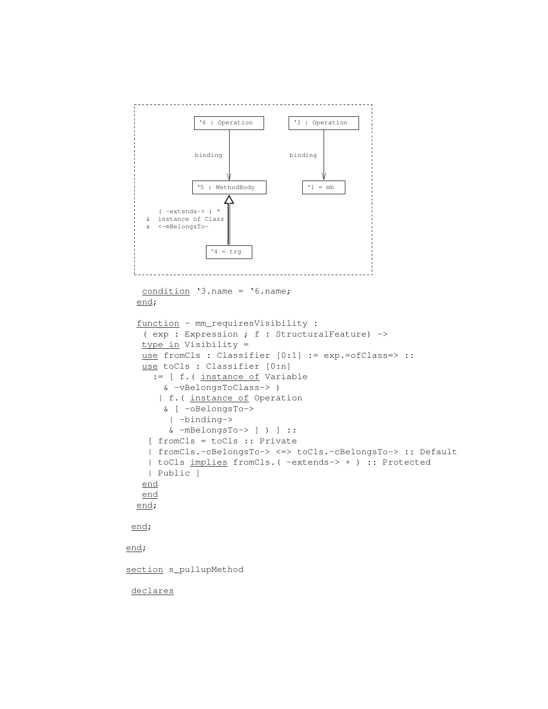```
'5 : MethodBody \vert '1 = mb
       ( −extends−> ) *
   & instance of Clazz
   & <−mBelongsTo−
                 '4 = \text{trg}binding
              '6 : Operation
                                 binding
                                  '3 : Operation
  condition '3.name = '6.name;
  end;
  function - mm_requiresVisibility :
   ( exp : Expression ; f : StructuralFeature) ->
  type in Visibility =
  use fromCls : Classifier [0:1] := exp.=ofClass=> ::
  use toCls : Classifier [0:n]
     := [ f.( instance of Variable
       & -vBelongsToClass-> )
      | f.( instance of Operation
       & [ -oBelongsTo->
        | -binding->
        & -mBelongsTo-> ] ) ] ::
    [ fromCls = toCls :: Private
    | fromCls.-cBelongsTo-> <=> toCls.-cBelongsTo-> :: Default
    | toCls implies fromCls.( -extends-> + ) :: Protected
    | Public ]
  end
  end
  end;
end;
end;
section s_pullupMethod
declares
```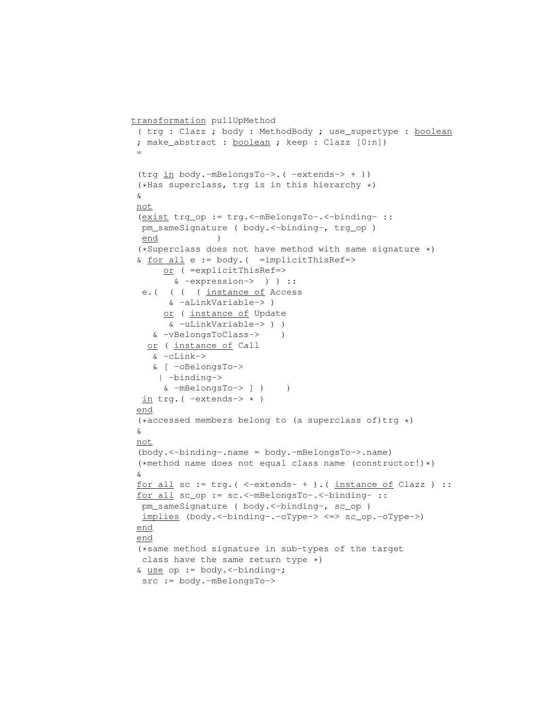```
transformation pullUpMethod
 ( trg : Clazz ; body : MethodBody ; use_supertype : boolean
 ; make_abstract : boolean ; keep : Clazz [0:n])
 =
 (trg in body.-mBelongsTo->.( -extends-> + ))
 (*Has superclass, trg is in this hierarchy *)
 &
 not
 (exist trg_op := trg.<-mBelongsTo-.<-binding- ::
 pm_sameSignature ( body. <-binding-, trg_op )
 end )
 (*Superclass does not have method with same signature *)
 & <u>for all</u> <math>e := body</math>. ( =<br/>implicitThisRef=></u>
      or ( =explicitThisRef=>
       & -expression-> ) ) ::
  e.( ( ( ( instance of Access
       & -aLinkVariable-> )
      or ( instance of Update
       & -uLinkVariable-> ) )
    & -vBelongsToClass-> )
   or ( instance of Call
    & -cLink->
    & [ -oBelongsTo->
     | -binding->
      & -mBelongsTo-> ] ) )
  in trg. ( -extends-> * )
 end
 (*accessed members belong to (a superclass of)trq *)&
 not
 (body.<-binding-.name = body.-mBelongsTo->.name)
 (*method name does not equal class name (constructor!)*)
 &
 for all sc := trg.( <-extends- + ).( instance of Clazz ) ::
 for all sc_op := sc.<-mBelongsTo-.<-binding- ::
  pm_sameSignature ( body.<-binding-, sc_op )
 implies (body.<-binding-.-oType-> <=> sc_op.-oType->)
 end
 end
 (*same method signature in sub-types of the target
 class have the same return type *)
 & use op := body.<-binding-;
  src := body.-mBelongsTo->
```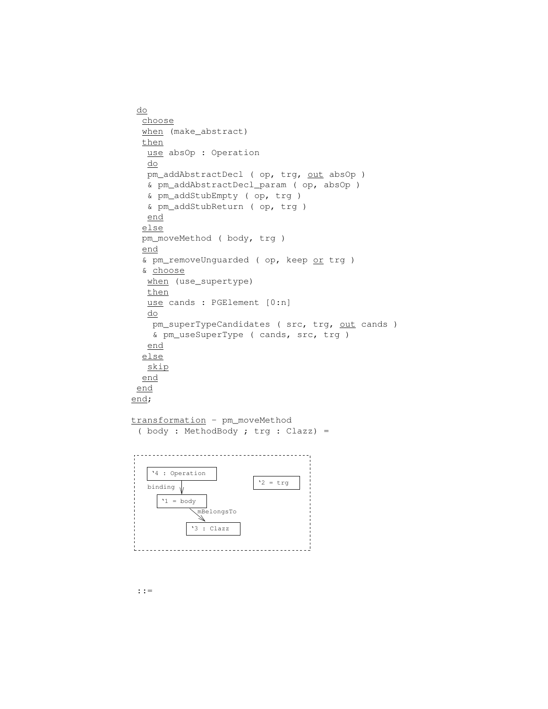```
do
  choose
 when (make_abstract)
 then
  use absOp : Operation
  do
  pm_addAbstractDecl ( op, trg, out absOp )
  & pm_addAbstractDecl_param ( op, absOp )
  & pm_addStubEmpty ( op, trg )
  & pm_addStubReturn ( op, trg )
  end
  else
 pm_moveMethod ( body, trg )
 end
  & pm_removeUnguarded ( op, keep or trg )
  & choose
  when (use_supertype)
  then
  use cands : PGElement [0:n]
  do
   pm_superTypeCandidates ( src, trg, out cands )
   & pm_useSuperType ( cands, src, trg )
  end
 else
  skip
  end
 end
end;
transformation - pm_moveMethod
 ( body : MethodBody ; trg : Clazz) =
'4 : Operation
                       '2 = trgbinding \sqrt{}'1 = bodymBelongsTo
            11
          '3 : Clazz
```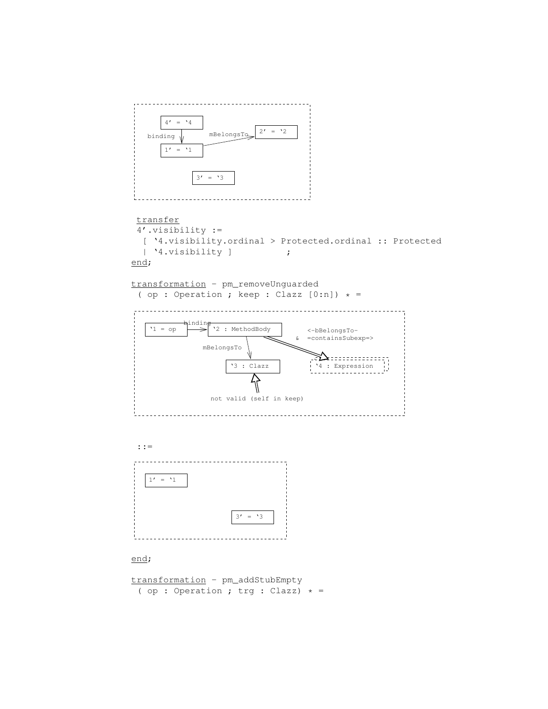

transformation - pm\_addStubEmpty ( op : Operation ; trg : Clazz)  $* =$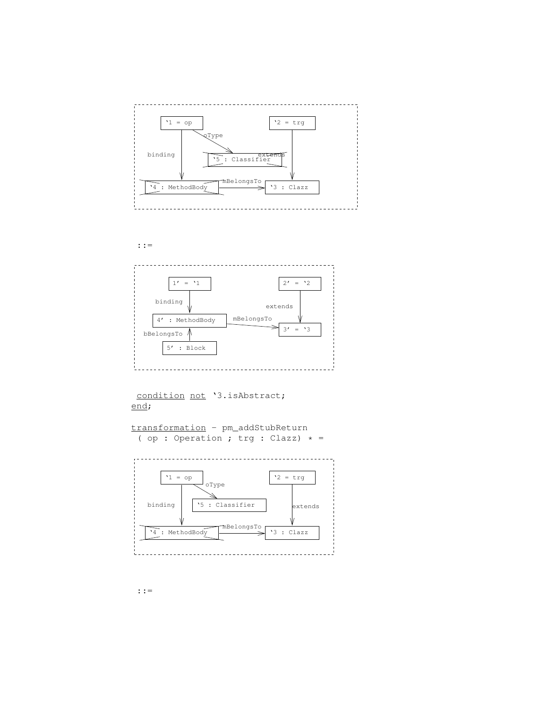



```
condition not '3.isAbstract;
end;
```

```
transformation - pm_addStubReturn
 ( op : Operation ; trg : Clazz) * =
```
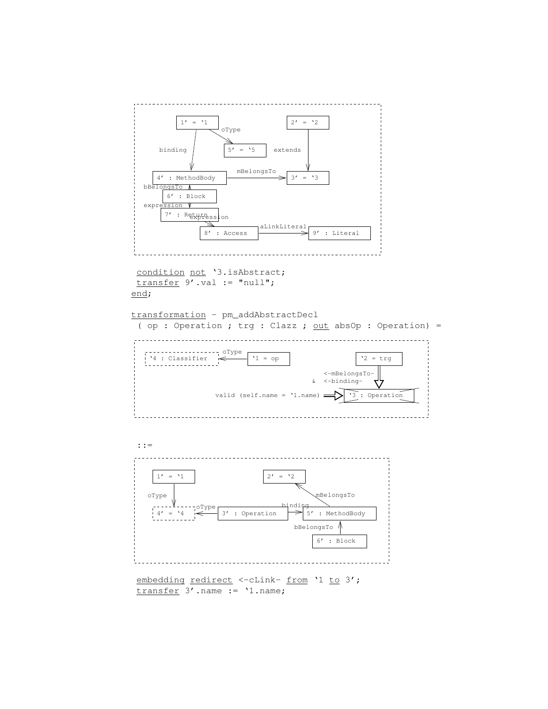

 $2' = '2$ 

oType

 $1' = '1$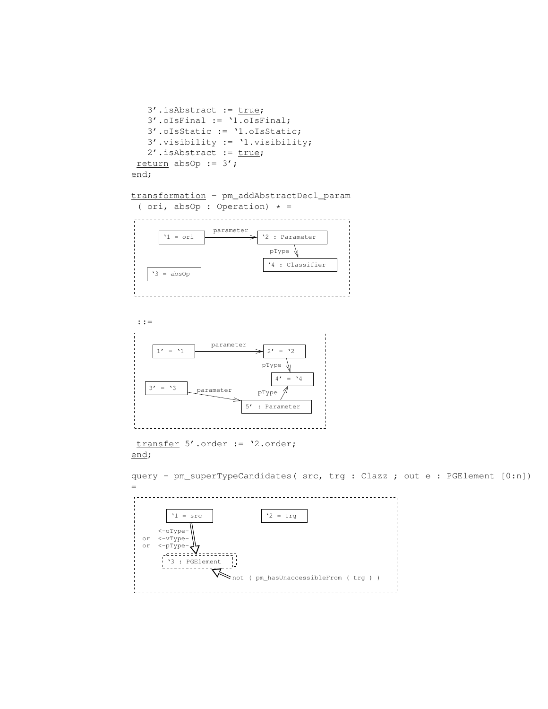

query - pm\_superTypeCandidates( src, trg : Clazz ; out e : PGElement [0:n])

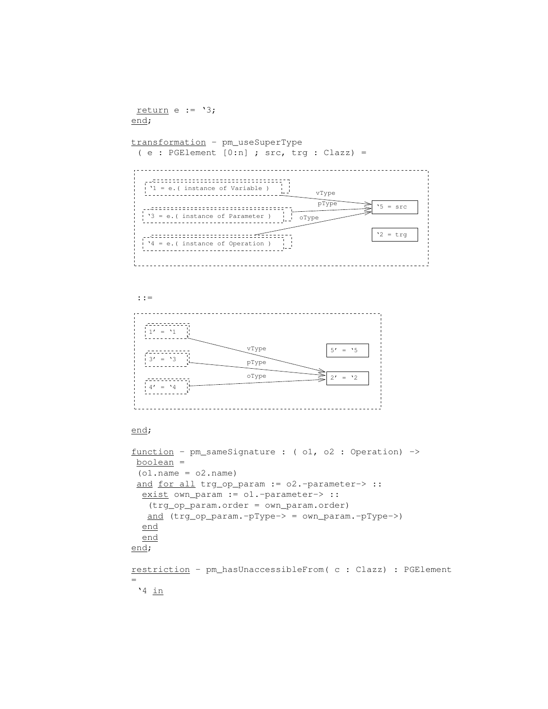```
return e := '3;
end;
transformation - pm_useSuperType
 ( e : PGElement [0:n] ; src, trg : Clazz) =
      '1 = e.( instance of Variable )
                              vType
 '3 = e.( instance of Parameter )
                               pType \longrightarrow 5 = src\frac{1}{1} oType
 '4 = e.( instance of Operation )
                                         '2 = trqفعلو
    ::=
1' = '1vType
                                 5' = '5\frac{1}{3}' = '3
                   pType
                   oType
                                 2' = '2. . . . . . .
  4' = '4end;
function - pm_sameSignature : ( o1, o2 : Operation) ->
boolean =
(01.name = 02.name)and for all trg_op_param := 02.-parameter-> ::
 exist own_param := o1.-parameter-> ::
  (trg_op_param.order = own_param.order)
  and (trg_op_param.-pType-> = own_param.-pType->)
 end
 end
end;
restriction - pm_hasUnaccessibleFrom( c : Clazz) : PGElement
=
'4 in
```